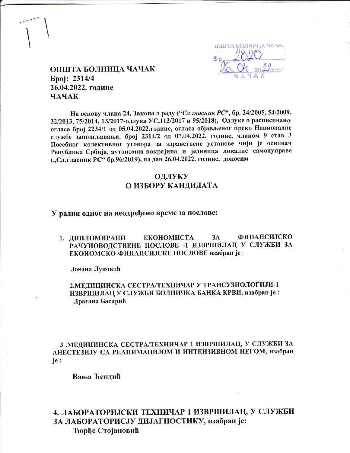

### ОПШТА БОЛНИЦА ЧАЧАК Број: 2314/4 26.04.2022. године ЧАЧАК

На основу члана 24. Закона о раду ("Сл гласник РС", бр. 24/2005, 54/2009, 32/2013, 75/2014, 13/2017-одлука УС, 113/2017 и 95/2018), Одлуке о расписивању огласа број 2234/1 од 05.04.2022. године, огласа објављеног преко Националне службе запошљавања, број 2314/2 од 07.04.2022. године, чланом 9 став 3 Посебног колективног уговора за здравствене установе чији је оснивач Република Србија, аутономна покрајина и јединица локалне самопуправе ("Сл.гласник РС" бр.96/2019), на дан 26.04.2022. године, доносим

### ОДЛУКУ О ИЗБОРУ КАНДИДАТА

У радни однос на неодређено време за послове:

**ФИНАНСИЈСКО**  $3A$ ЕКОНОМИСТА 1. ДИПЛОМИРАНИ РАЧУНОВОДСТВЕНЕ ПОСЛОВЕ -1 ИЗВРШИЛАЦ У СЛУЖБИ ЗА ЕКОНОМСКО-ФИНАНСИЈСКЕ ПОСЛОВЕ изабран је:

Јована Луковић

#### 2. МЕДИЦИНСКА СЕСТРА/ТЕХНИЧАР У ТРАНСУЗИОЛОГИЈИ-1 ИЗВРШИЛАЦ У СЛУЖБИ БОЛНИЧКА БАНКА КРВИ, изабран је: Драгана Басарић

3 .МЕДИЦИНСКА СЕСТРА/ТЕХНИЧАР 1 ИЗВРШИЛАЦ, У СЛУЖБИ ЗА АНЕСТЕЗИЈУ СА РЕАНИМАЦИЈОМ И ИНТЕНЗИВНОМ НЕГОМ, изабран ie :

Вања Ћендић

## 4. ЛАБОРАТОРИЈСКИ ТЕХНИЧАР 1 ИЗВРШИЛАЦ, У СЛУЖБИ ЗА ЛАБОРАТОРИСЈУ ДИЈАГНОСТИКУ, изабран је: **Ђорђе Стојановић**